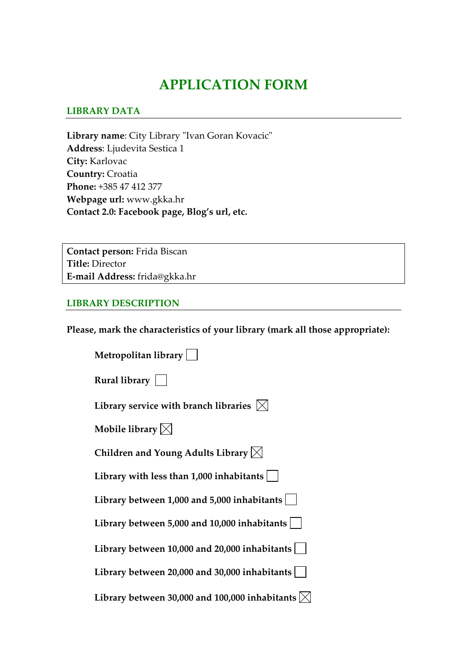# **APPLICATION FORM**

#### **LIBRARY DATA**

Library name: City Library "Ivan Goran Kovacic" **Address**: Ljudevita Sestica 1 **City:** Karlovac **Country:** Croatia **Phone:** +385 47 412 377 **Webpage url:** www.gkka.hr **Contact 2.0: Facebook page, Blog's url, etc.**

**Contact person:** Frida Biscan **Title:** Director **E‐mail Address:** frida@gkka.hr

#### **LIBRARY DESCRIPTION**

**Please, mark the characteristics of your library (mark all those appropriate):**

| Metropolitan library                                         |
|--------------------------------------------------------------|
| Rural library $\vert \ \ \vert$                              |
| Library service with branch libraries $\vert\mathbb{X}\vert$ |
| Mobile library $\boxtimes$                                   |
| Children and Young Adults Library $\boxtimes$                |
| Library with less than $1,000$ inhabitants $ $               |
| Library between 1,000 and 5,000 inhabitants $ $              |
| Library between 5,000 and 10,000 inhabitants                 |
| Library between $10,000$ and $20,000$ inhabitants            |
| Library between 20,000 and 30,000 inhabitants                |
| Library between 30,000 and 100,000 inhabitants $\vert$       |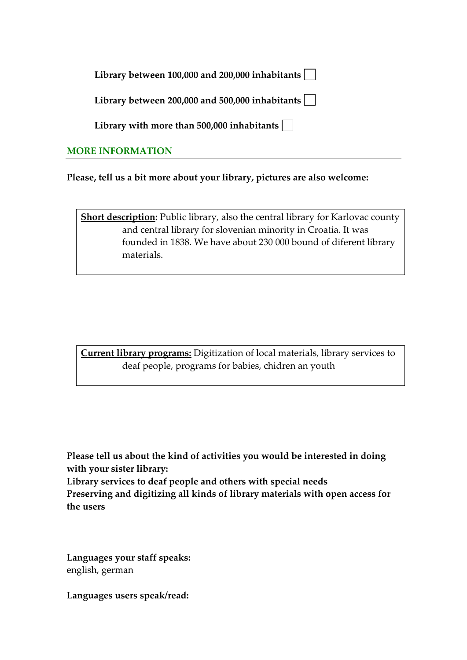|  | Library between 100,000 and 200,000 inhabitants $ \;\; $ |  |
|--|----------------------------------------------------------|--|
|--|----------------------------------------------------------|--|

**Library between 200,000 and 500,000 inhabitants**

**Library with more than 500,000 inhabitants**

## **MORE INFORMATION**

**Please, tell us a bit more about your library, pictures are also welcome:** 

**Short description:** Public library, also the central library for Karlovac county and central library for slovenian minority in Croatia. It was founded in 1838. We have about 230 000 bound of diferent library materials.

**Current library programs:** Digitization of local materials, library services to deaf people, programs for babies, chidren an youth

**Please tell us about the kind of activities you would be interested in doing with your sister library: Library services to deaf people and others with special needs**

**Preserving and digitizing all kinds of library materials with open access for the users**

**Languages your staff speaks:** english, german

**Languages users speak/read:**